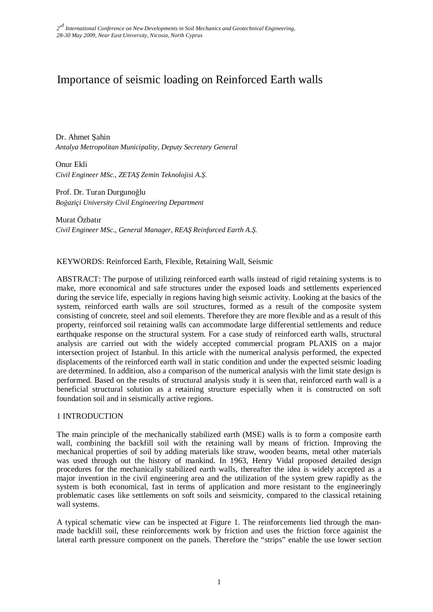# Importance of seismic loading on Reinforced Earth walls

Dr. Ahmet Şahin *Antalya Metropolitan Municipality, Deputy Secretary General* 

Onur Ekli *Civil Engineer MSc., ZETAŞ Zemin Teknolojisi A.Ş.* 

Prof. Dr. Turan Durgunoğlu *Boğaziçi University Civil Engineering Department* 

Murat Özbatır *Civil Engineer MSc., General Manager, REAŞ Reinforced Earth A.Ş.* 

# KEYWORDS: Reinforced Earth, Flexible, Retaining Wall, Seismic

ABSTRACT: The purpose of utilizing reinforced earth walls instead of rigid retaining systems is to make, more economical and safe structures under the exposed loads and settlements experienced during the service life, especially in regions having high seismic activity. Looking at the basics of the system, reinforced earth walls are soil structures, formed as a result of the composite system consisting of concrete, steel and soil elements. Therefore they are more flexible and as a result of this property, reinforced soil retaining walls can accommodate large differential settlements and reduce earthquake response on the structural system. For a case study of reinforced earth walls, structural analysis are carried out with the widely accepted commercial program PLAXIS on a major intersection project of Istanbul. In this article with the numerical analysis performed, the expected displacements of the reinforced earth wall in static condition and under the expected seismic loading are determined. In addition, also a comparison of the numerical analysis with the limit state design is performed. Based on the results of structural analysis study it is seen that, reinforced earth wall is a beneficial structural solution as a retaining structure especially when it is constructed on soft foundation soil and in seismically active regions.

### 1 INTRODUCTION

The main principle of the mechanically stabilized earth (MSE) walls is to form a composite earth wall, combining the backfill soil with the retaining wall by means of friction. Improving the mechanical properties of soil by adding materials like straw, wooden beams, metal other materials was used through out the history of mankind. In 1963, Henry Vidal proposed detailed design procedures for the mechanically stabilized earth walls, thereafter the idea is widely accepted as a major invention in the civil engineering area and the utilization of the system grew rapidly as the system is both economical, fast in terms of application and more resistant to the engineeringly problematic cases like settlements on soft soils and seismicity, compared to the classical retaining wall systems.

A typical schematic view can be inspected at Figure 1. The reinforcements lied through the manmade backfill soil, these reinforcements work by friction and uses the friction force againist the lateral earth pressure component on the panels. Therefore the "strips" enable the use lower section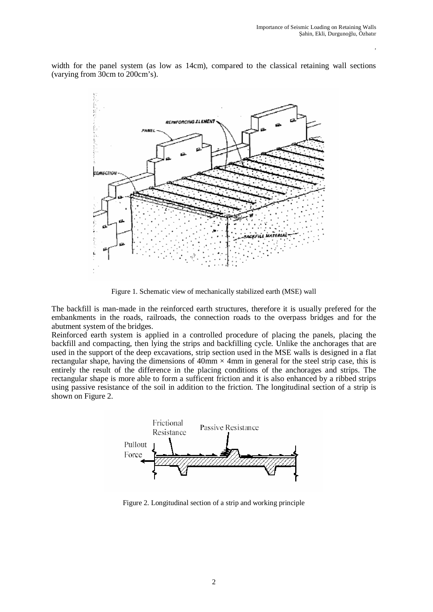,

width for the panel system (as low as 14cm), compared to the classical retaining wall sections (varying from 30cm to 200cm's).



Figure 1. Schematic view of mechanically stabilized earth (MSE) wall

The backfill is man-made in the reinforced earth structures, therefore it is usually prefered for the embankments in the roads, railroads, the connection roads to the overpass bridges and for the abutment system of the bridges.

Reinforced earth system is applied in a controlled procedure of placing the panels, placing the backfill and compacting, then lying the strips and backfilling cycle. Unlike the anchorages that are used in the support of the deep excavations, strip section used in the MSE walls is designed in a flat rectangular shape, having the dimensions of  $40 \text{mm} \times 4 \text{mm}$  in general for the steel strip case, this is entirely the result of the difference in the placing conditions of the anchorages and strips. The rectangular shape is more able to form a sufficent friction and it is also enhanced by a ribbed strips using passive resistance of the soil in addition to the friction. The longitudinal section of a strip is shown on Figure 2.



Figure 2. Longitudinal section of a strip and working principle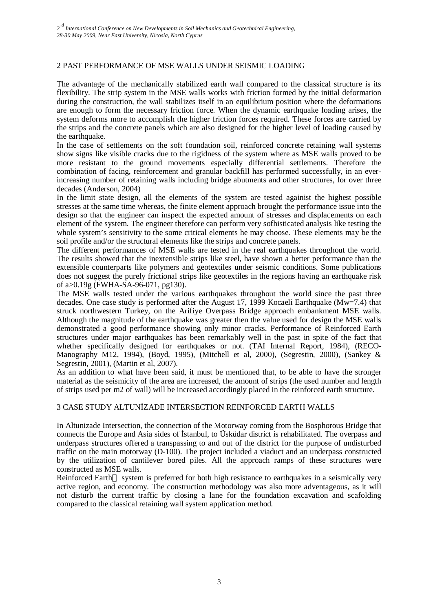# 2 PAST PERFORMANCE OF MSE WALLS UNDER SEISMIC LOADING

The advantage of the mechanically stabilized earth wall compared to the classical structure is its flexibility. The strip system in the MSE walls works with friction formed by the initial deformation during the construction, the wall stabilizes itself in an equilibrium position where the deformations are enough to form the necessary friction force. When the dynamic earthquake loading arises, the system deforms more to accomplish the higher friction forces required. These forces are carried by the strips and the concrete panels which are also designed for the higher level of loading caused by the earthquake.

In the case of settlements on the soft foundation soil, reinforced concrete retaining wall systems show signs like visible cracks due to the rigidness of the system where as MSE walls proved to be more resistant to the ground movements especially differential settlements. Therefore the combination of facing, reinforcement and granular backfill has performed successfully, in an everincreasing number of retaining walls including bridge abutments and other structures, for over three decades (Anderson, 2004)

In the limit state design, all the elements of the system are tested againist the highest possible stresses at the same time whereas, the finite element approach brought the performance issue into the design so that the engineer can inspect the expected amount of stresses and displacements on each element of the system. The engineer therefore can perform very sofhisticated analysis like testing the whole system's sensitivity to the some critical elements he may choose. These elements may be the soil profile and/or the structural elements like the strips and concrete panels.

The different performances of MSE walls are tested in the real earthquakes throughout the world. The results showed that the inextensible strips like steel, have shown a better performance than the extensible counterparts like polymers and geotextiles under seismic conditions. Some publications does not suggest the purely frictional strips like geotextiles in the regions having an earthquake risk of a>0.19g (FWHA-SA-96-071, pg130).

The MSE walls tested under the various earthquakes throughout the world since the past three decades. One case study is performed after the August 17, 1999 Kocaeli Earthquake (Mw=7.4) that struck northwestern Turkey, on the Arifiye Overpass Bridge approach embankment MSE walls. Although the magnitude of the earthquake was greater then the value used for design the MSE walls demonstrated a good performance showing only minor cracks. Performance of Reinforced Earth structures under major earthquakes has been remarkably well in the past in spite of the fact that whether specifically designed for earthquakes or not. (TAI Internal Report, 1984), (RECO-Manography M12, 1994), (Boyd, 1995), (Mitchell et al, 2000), (Segrestin, 2000), (Sankey & Segrestin, 2001), (Martin et al, 2007).

As an addition to what have been said, it must be mentioned that, to be able to have the stronger material as the seismicity of the area are increased, the amount of strips (the used number and length of strips used per m2 of wall) will be increased accordingly placed in the reinforced earth structure.

### 3 CASE STUDY ALTUNİZADE INTERSECTION REINFORCED EARTH WALLS

In Altunizade Intersection, the connection of the Motorway coming from the Bosphorous Bridge that connects the Europe and Asia sides of İstanbul, to Üsküdar district is rehabilitated. The overpass and underpass structures offered a transpassing to and out of the district for the purpose of undisturbed traffic on the main motorway (D-100). The project included a viaduct and an underpass constructed by the utilization of cantilever bored piles. All the approach ramps of these structures were constructed as MSE walls.

Reinforced Earth<sup>TM</sup> system is preferred for both high resistance to earthquakes in a seismically very active region, and economy. The construction methodology was also more adventageous, as it will not disturb the current traffic by closing a lane for the foundation excavation and scafolding compared to the classical retaining wall system application method.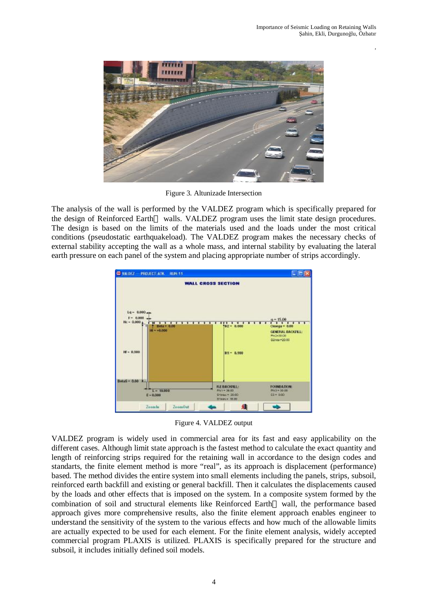,



Figure 3. Altunizade Intersection

The analysis of the wall is performed by the VALDEZ program which is specifically prepared for the design of Reinforced Earth<sup>™</sup> walls. VALDEZ program uses the limit state design procedures. The design is based on the limits of the materials used and the loads under the most critical conditions (pseudostatic earthquakeload). The VALDEZ program makes the necessary checks of external stability accepting the wall as a whole mass, and internal stability by evaluating the lateral earth pressure on each panel of the system and placing appropriate number of strips accordingly.



Figure 4. VALDEZ output

VALDEZ program is widely used in commercial area for its fast and easy applicability on the different cases. Although limit state approach is the fastest method to calculate the exact quantity and length of reinforcing strips required for the retaining wall in accordance to the design codes and standarts, the finite element method is more "real", as its approach is displacement (performance) based. The method divides the entire system into small elements including the panels, strips, subsoil, reinforced earth backfill and existing or general backfill. Then it calculates the displacements caused by the loads and other effects that is imposed on the system. In a composite system formed by the combination of soil and structural elements like Reinforced Earth<sup> $TM$ </sup> wall, the performance based approach gives more comprehensive results, also the finite element approach enables engineer to understand the sensitivity of the system to the various effects and how much of the allowable limits are actually expected to be used for each element. For the finite element analysis, widely accepted commercial program PLAXIS is utilized. PLAXIS is specifically prepared for the structure and subsoil, it includes initially defined soil models.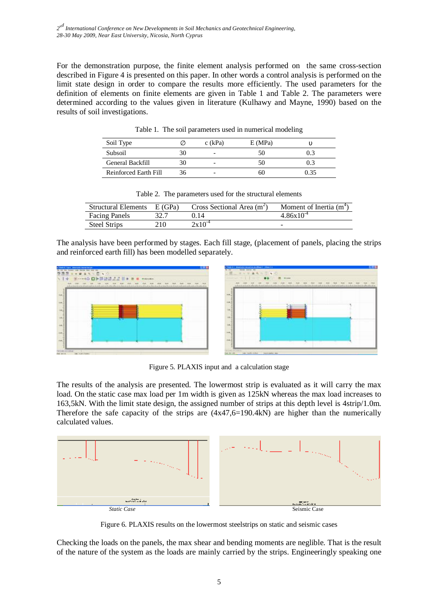For the demonstration purpose, the finite element analysis performed on the same cross-section described in Figure 4 is presented on this paper. In other words a control analysis is performed on the limit state design in order to compare the results more efficiently. The used parameters for the definition of elements on finite elements are given in Table 1 and Table 2. The parameters were determined according to the values given in literature (Kulhawy and Mayne, 1990) based on the results of soil investigations.

| Soil Type             | $c$ (kPa) | E(MPa) |      |
|-----------------------|-----------|--------|------|
| Subsoil               |           | 50     |      |
| General Backfill      |           | 50     |      |
| Reinforced Earth Fill |           | 60     | ) 35 |

Table 1. The soil parameters used in numerical modeling

| <b>Structural Elements</b> | E(GPa) | Cross Sectional Area $(m2)$ | Moment of Inertia $(m^+)$ |
|----------------------------|--------|-----------------------------|---------------------------|
| <b>Facing Panels</b>       |        | 1 I 4                       | $4.86x10^{-4}$            |
| Steel Strips               | 210.   | $2x10^{-4}$                 | -                         |

Table 2. The parameters used for the structural elements

The analysis have been performed by stages. Each fill stage, (placement of panels, placing the strips and reinforced earth fill) has been modelled separately.





Figure 5. PLAXIS input and a calculation stage

The results of the analysis are presented. The lowermost strip is evaluated as it will carry the max load. On the static case max load per 1m width is given as 125kN whereas the max load increases to 163,5kN. With the limit state design, the assigned number of strips at this depth level is 4strip/1.0m. Therefore the safe capacity of the strips are  $(4x47,6=190.4k)$  are higher than the numerically calculated values.



Figure 6. PLAXIS results on the lowermost steelstrips on static and seismic cases

Checking the loads on the panels, the max shear and bending moments are neglible. That is the result of the nature of the system as the loads are mainly carried by the strips. Engineeringly speaking one